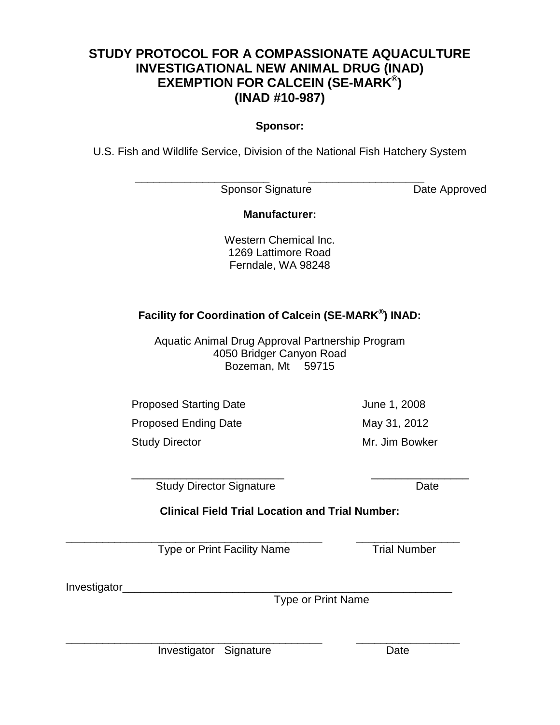# **STUDY PROTOCOL FOR A COMPASSIONATE AQUACULTURE INVESTIGATIONAL NEW ANIMAL DRUG (INAD) EXEMPTION FOR CALCEIN (SE-MARK®) (INAD #10-987)**

#### **Sponsor:**

U.S. Fish and Wildlife Service, Division of the National Fish Hatchery System

\_\_\_\_\_\_\_\_\_\_\_\_\_\_\_\_\_\_\_\_\_\_ \_\_\_\_\_\_\_\_\_\_\_\_\_\_\_\_\_\_\_ Sponsor Signature Date Approved

## **Manufacturer:**

Western Chemical Inc. 1269 Lattimore Road Ferndale, WA 98248

# **Facility for Coordination of Calcein (SE-MARK®) INAD:**

Aquatic Animal Drug Approval Partnership Program 4050 Bridger Canyon Road Bozeman, Mt 59715

Proposed Starting Date **June 1, 2008** 

Proposed Ending Date May 31, 2012

Study Director **Mr.** Jim Bowker

\_\_\_\_\_\_\_\_\_\_\_\_\_\_\_\_\_\_\_\_\_\_\_\_\_ \_\_\_\_\_\_\_\_\_\_\_\_\_\_\_\_

Study Director Signature **Date** Date

**Clinical Field Trial Location and Trial Number:**

\_\_\_\_\_\_\_\_\_\_\_\_\_\_\_\_\_\_\_\_\_\_\_\_\_\_\_\_\_\_\_\_\_\_\_\_\_\_\_\_\_\_ \_\_\_\_\_\_\_\_\_\_\_\_\_\_\_\_\_

\_\_\_\_\_\_\_\_\_\_\_\_\_\_\_\_\_\_\_\_\_\_\_\_\_\_\_\_\_\_\_\_\_\_\_\_\_\_\_\_\_\_ \_\_\_\_\_\_\_\_\_\_\_\_\_\_\_\_\_ Type or Print Facility Name Trial Number

Investigator\_\_\_\_\_\_

Type or Print Name

Investigator Signature **Date** Date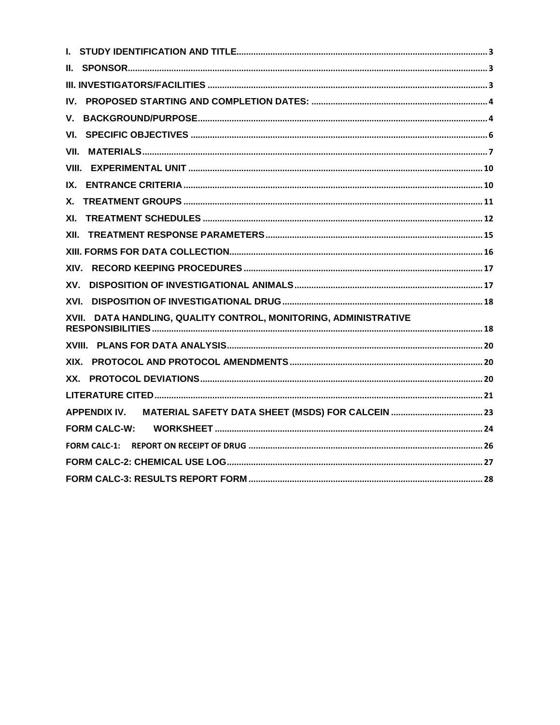| IV.                                                              |
|------------------------------------------------------------------|
| V.                                                               |
| VI.                                                              |
| VII.                                                             |
|                                                                  |
| IX.                                                              |
|                                                                  |
| XI.                                                              |
| XII.                                                             |
|                                                                  |
| XIV.                                                             |
| XV.                                                              |
|                                                                  |
| XVII. DATA HANDLING, QUALITY CONTROL, MONITORING, ADMINISTRATIVE |
|                                                                  |
| XIX.                                                             |
|                                                                  |
|                                                                  |
|                                                                  |
|                                                                  |
| <b>FORM CALC-1:</b>                                              |
|                                                                  |
|                                                                  |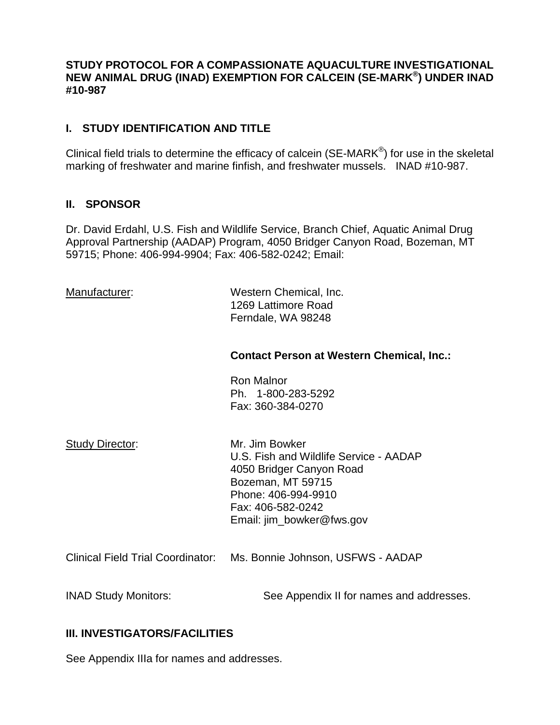#### **STUDY PROTOCOL FOR A COMPASSIONATE AQUACULTURE INVESTIGATIONAL NEW ANIMAL DRUG (INAD) EXEMPTION FOR CALCEIN (SE-MARK®) UNDER INAD #10-987**

## <span id="page-2-0"></span>**I. STUDY IDENTIFICATION AND TITLE**

Clinical field trials to determine the efficacy of calcein ( $SE\text{-}MARK^{\circledast}$ ) for use in the skeletal marking of freshwater and marine finfish, and freshwater mussels. INAD #10-987.

#### <span id="page-2-1"></span>**II. SPONSOR**

Dr. David Erdahl, U.S. Fish and Wildlife Service, Branch Chief, Aquatic Animal Drug Approval Partnership (AADAP) Program, 4050 Bridger Canyon Road, Bozeman, MT 59715; Phone: 406-994-9904; Fax: 406-582-0242; Email:

Manufacturer: Western Chemical, Inc. 1269 Lattimore Road Ferndale, WA 98248

#### **Contact Person at Western Chemical, Inc.:**

Ron Malnor Ph. 1-800-283-5292 Fax: 360-384-0270

Study Director: Mr. Jim Bowker U.S. Fish and Wildlife Service - AADAP 4050 Bridger Canyon Road Bozeman, MT 59715 Phone: 406-994-9910 Fax: 406-582-0242 Email: jim\_bowker@fws.gov

Clinical Field Trial Coordinator: Ms. Bonnie Johnson, USFWS - AADAP

INAD Study Monitors: See Appendix II for names and addresses.

#### <span id="page-2-2"></span>**III. INVESTIGATORS/FACILITIES**

See Appendix IIIa for names and addresses.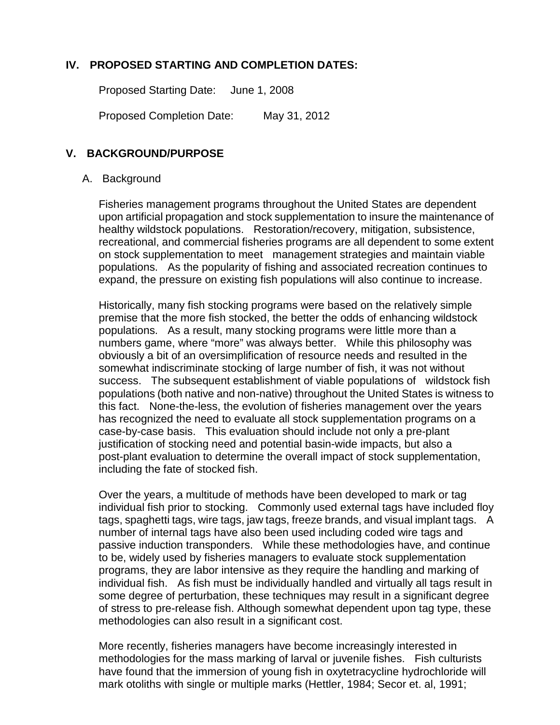## **IV. PROPOSED STARTING AND COMPLETION DATES:**

<span id="page-3-0"></span>Proposed Starting Date: June 1, 2008

<span id="page-3-1"></span>Proposed Completion Date: May 31, 2012

#### **V. BACKGROUND/PURPOSE**

#### A. Background

Fisheries management programs throughout the United States are dependent upon artificial propagation and stock supplementation to insure the maintenance of healthy wildstock populations. Restoration/recovery, mitigation, subsistence, recreational, and commercial fisheries programs are all dependent to some extent on stock supplementation to meet management strategies and maintain viable populations. As the popularity of fishing and associated recreation continues to expand, the pressure on existing fish populations will also continue to increase.

Historically, many fish stocking programs were based on the relatively simple premise that the more fish stocked, the better the odds of enhancing wildstock populations. As a result, many stocking programs were little more than a numbers game, where "more" was always better. While this philosophy was obviously a bit of an oversimplification of resource needs and resulted in the somewhat indiscriminate stocking of large number of fish, it was not without success. The subsequent establishment of viable populations of wildstock fish populations (both native and non-native) throughout the United States is witness to this fact. None-the-less, the evolution of fisheries management over the years has recognized the need to evaluate all stock supplementation programs on a case-by-case basis. This evaluation should include not only a pre-plant justification of stocking need and potential basin-wide impacts, but also a post-plant evaluation to determine the overall impact of stock supplementation, including the fate of stocked fish.

Over the years, a multitude of methods have been developed to mark or tag individual fish prior to stocking. Commonly used external tags have included floy tags, spaghetti tags, wire tags, jaw tags, freeze brands, and visual implant tags. A number of internal tags have also been used including coded wire tags and passive induction transponders. While these methodologies have, and continue to be, widely used by fisheries managers to evaluate stock supplementation programs, they are labor intensive as they require the handling and marking of individual fish. As fish must be individually handled and virtually all tags result in some degree of perturbation, these techniques may result in a significant degree of stress to pre-release fish. Although somewhat dependent upon tag type, these methodologies can also result in a significant cost.

More recently, fisheries managers have become increasingly interested in methodologies for the mass marking of larval or juvenile fishes. Fish culturists have found that the immersion of young fish in oxytetracycline hydrochloride will mark otoliths with single or multiple marks (Hettler, 1984; Secor et. al, 1991;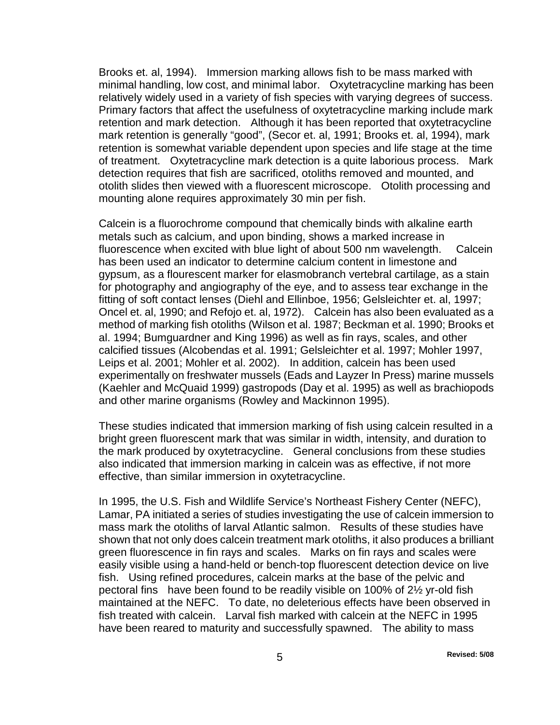Brooks et. al, 1994). Immersion marking allows fish to be mass marked with minimal handling, low cost, and minimal labor. Oxytetracycline marking has been relatively widely used in a variety of fish species with varying degrees of success. Primary factors that affect the usefulness of oxytetracycline marking include mark retention and mark detection. Although it has been reported that oxytetracycline mark retention is generally "good", (Secor et. al, 1991; Brooks et. al, 1994), mark retention is somewhat variable dependent upon species and life stage at the time of treatment. Oxytetracycline mark detection is a quite laborious process. Mark detection requires that fish are sacrificed, otoliths removed and mounted, and otolith slides then viewed with a fluorescent microscope. Otolith processing and mounting alone requires approximately 30 min per fish.

Calcein is a fluorochrome compound that chemically binds with alkaline earth metals such as calcium, and upon binding, shows a marked increase in fluorescence when excited with blue light of about 500 nm wavelength. Calcein has been used an indicator to determine calcium content in limestone and gypsum, as a flourescent marker for elasmobranch vertebral cartilage, as a stain for photography and angiography of the eye, and to assess tear exchange in the fitting of soft contact lenses (Diehl and Ellinboe, 1956; Gelsleichter et. al, 1997; Oncel et. al, 1990; and Refojo et. al, 1972). Calcein has also been evaluated as a method of marking fish otoliths (Wilson et al. 1987; Beckman et al. 1990; Brooks et al. 1994; Bumguardner and King 1996) as well as fin rays, scales, and other calcified tissues (Alcobendas et al. 1991; Gelsleichter et al. 1997; Mohler 1997, Leips et al. 2001; Mohler et al. 2002). In addition, calcein has been used experimentally on freshwater mussels (Eads and Layzer In Press) marine mussels (Kaehler and McQuaid 1999) gastropods (Day et al. 1995) as well as brachiopods and other marine organisms (Rowley and Mackinnon 1995).

These studies indicated that immersion marking of fish using calcein resulted in a bright green fluorescent mark that was similar in width, intensity, and duration to the mark produced by oxytetracycline. General conclusions from these studies also indicated that immersion marking in calcein was as effective, if not more effective, than similar immersion in oxytetracycline.

In 1995, the U.S. Fish and Wildlife Service's Northeast Fishery Center (NEFC), Lamar, PA initiated a series of studies investigating the use of calcein immersion to mass mark the otoliths of larval Atlantic salmon. Results of these studies have shown that not only does calcein treatment mark otoliths, it also produces a brilliant green fluorescence in fin rays and scales. Marks on fin rays and scales were easily visible using a hand-held or bench-top fluorescent detection device on live fish. Using refined procedures, calcein marks at the base of the pelvic and pectoral fins have been found to be readily visible on 100% of 2½ yr-old fish maintained at the NEFC. To date, no deleterious effects have been observed in fish treated with calcein. Larval fish marked with calcein at the NEFC in 1995 have been reared to maturity and successfully spawned. The ability to mass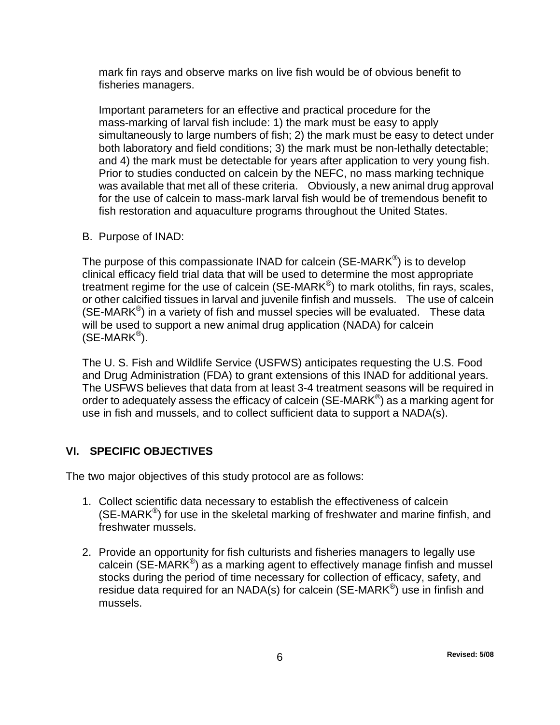mark fin rays and observe marks on live fish would be of obvious benefit to fisheries managers.

Important parameters for an effective and practical procedure for the mass-marking of larval fish include: 1) the mark must be easy to apply simultaneously to large numbers of fish; 2) the mark must be easy to detect under both laboratory and field conditions; 3) the mark must be non-lethally detectable; and 4) the mark must be detectable for years after application to very young fish. Prior to studies conducted on calcein by the NEFC, no mass marking technique was available that met all of these criteria. Obviously, a new animal drug approval for the use of calcein to mass-mark larval fish would be of tremendous benefit to fish restoration and aquaculture programs throughout the United States.

B. Purpose of INAD:

The purpose of this compassionate INAD for calcein (SE-MARK<sup>®</sup>) is to develop clinical efficacy field trial data that will be used to determine the most appropriate treatment regime for the use of calcein (SE-MARK<sup>®</sup>) to mark otoliths, fin rays, scales, or other calcified tissues in larval and juvenile finfish and mussels. The use of calcein  $(SE\text{-}MARK^{\circledast})$  in a variety of fish and mussel species will be evaluated. These data will be used to support a new animal drug application (NADA) for calcein  $(SE-MARK^@)$ .

The U. S. Fish and Wildlife Service (USFWS) anticipates requesting the U.S. Food and Drug Administration (FDA) to grant extensions of this INAD for additional years. The USFWS believes that data from at least 3-4 treatment seasons will be required in order to adequately assess the efficacy of calcein (SE-MARK<sup>®</sup>) as a marking agent for use in fish and mussels, and to collect sufficient data to support a NADA(s).

# **VI. SPECIFIC OBJECTIVES**

The two major objectives of this study protocol are as follows:

- <span id="page-5-0"></span>1. Collect scientific data necessary to establish the effectiveness of calcein (SE-MARK®) for use in the skeletal marking of freshwater and marine finfish, and freshwater mussels.
- 2. Provide an opportunity for fish culturists and fisheries managers to legally use calcein (SE-MARK $^{\circ}$ ) as a marking agent to effectively manage finfish and mussel stocks during the period of time necessary for collection of efficacy, safety, and residue data required for an NADA(s) for calcein (SE-MARK<sup>®</sup>) use in finfish and mussels.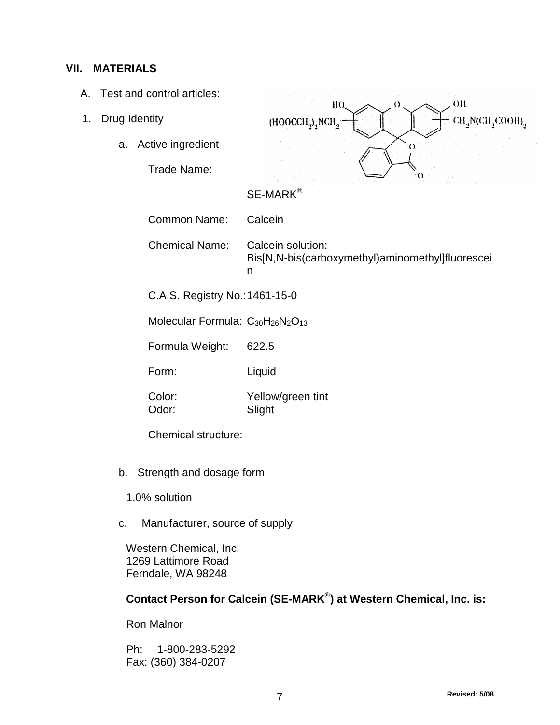#### **VII. MATERIALS**

- <span id="page-6-0"></span>A. Test and control articles:
- 1. Drug Identity
	- a. Active ingredient

Trade Name:



# SE-MARK®

Common Name: Calcein

Chemical Name: Calcein solution: Bis[N,N-bis(carboxymethyl)aminomethyl]fluorescei n

C.A.S. Registry No.:1461-15-0

Molecular Formula:  $C_{30}H_{26}N_2O_{13}$ 

Formula Weight: 622.5

Form: Liquid

Color: Yellow/green tint Odor: Slight

Chemical structure:

- b. Strength and dosage form
	- 1.0% solution
- c. Manufacturer, source of supply

Western Chemical, Inc. 1269 Lattimore Road Ferndale, WA 98248

# **Contact Person for Calcein (SE-MARK**®**) at Western Chemical, Inc. is:**

Ron Malnor

Ph: 1-800-283-5292 Fax: (360) 384-0207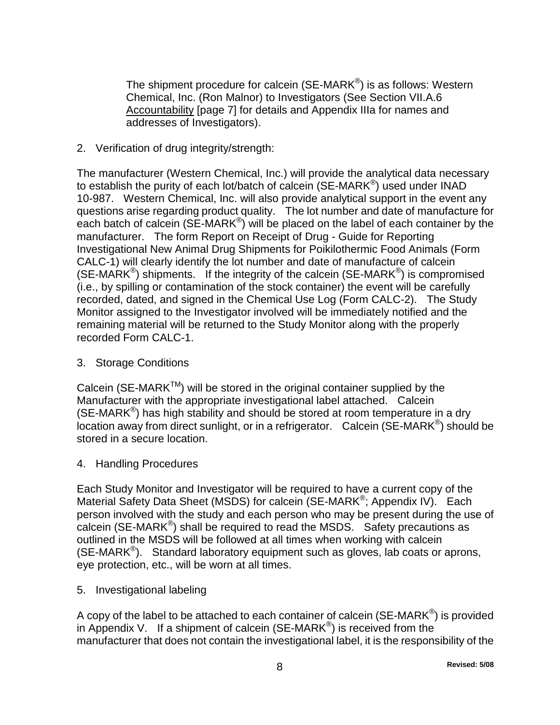The shipment procedure for calcein (SE-MARK<sup>®</sup>) is as follows: Western Chemical, Inc. (Ron Malnor) to Investigators (See Section VII.A.6 Accountability [page 7] for details and Appendix IIIa for names and addresses of Investigators).

2. Verification of drug integrity/strength:

The manufacturer (Western Chemical, Inc.) will provide the analytical data necessary to establish the purity of each lot/batch of calcein (SE-MARK<sup>®</sup>) used under INAD 10-987. Western Chemical, Inc. will also provide analytical support in the event any questions arise regarding product quality. The lot number and date of manufacture for each batch of calcein (SE-MARK<sup>®</sup>) will be placed on the label of each container by the manufacturer. The form Report on Receipt of Drug - Guide for Reporting Investigational New Animal Drug Shipments for Poikilothermic Food Animals (Form CALC-1) will clearly identify the lot number and date of manufacture of calcein  $(SE\text{-}MARK^{\circledast})$  shipments. If the integrity of the calcein  $(SE\text{-}MARK^{\circledast})$  is compromised (i.e., by spilling or contamination of the stock container) the event will be carefully recorded, dated, and signed in the Chemical Use Log (Form CALC-2). The Study Monitor assigned to the Investigator involved will be immediately notified and the remaining material will be returned to the Study Monitor along with the properly recorded Form CALC-1.

3. Storage Conditions

Calcein (SE-MARK<sup>™</sup>) will be stored in the original container supplied by the Manufacturer with the appropriate investigational label attached. Calcein (SE-MARK<sup>®</sup>) has high stability and should be stored at room temperature in a dry location away from direct sunlight, or in a refrigerator. Calcein (SE-MARK<sup>®</sup>) should be stored in a secure location.

4. Handling Procedures

Each Study Monitor and Investigator will be required to have a current copy of the Material Safety Data Sheet (MSDS) for calcein (SE-MARK<sup>®</sup>; Appendix IV). Each person involved with the study and each person who may be present during the use of calcein (SE-MARK®) shall be required to read the MSDS. Safety precautions as outlined in the MSDS will be followed at all times when working with calcein  $(SE\text{-}MARK^{\circledast})$ . Standard laboratory equipment such as gloves, lab coats or aprons, eye protection, etc., will be worn at all times.

5. Investigational labeling

A copy of the label to be attached to each container of calcein (SE-MARK<sup>®</sup>) is provided in Appendix V. If a shipment of calcein (SE-MARK<sup>®</sup>) is received from the manufacturer that does not contain the investigational label, it is the responsibility of the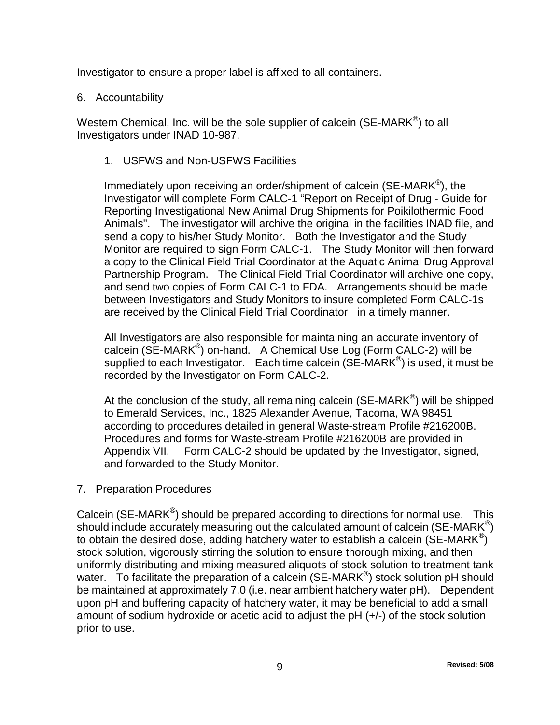Investigator to ensure a proper label is affixed to all containers.

#### 6. Accountability

Western Chemical, Inc. will be the sole supplier of calcein (SE-MARK<sup>®</sup>) to all Investigators under INAD 10-987.

1. USFWS and Non-USFWS Facilities

Immediately upon receiving an order/shipment of calcein (SE-MARK®), the Investigator will complete Form CALC-1 "Report on Receipt of Drug - Guide for Reporting Investigational New Animal Drug Shipments for Poikilothermic Food Animals". The investigator will archive the original in the facilities INAD file, and send a copy to his/her Study Monitor. Both the Investigator and the Study Monitor are required to sign Form CALC-1. The Study Monitor will then forward a copy to the Clinical Field Trial Coordinator at the Aquatic Animal Drug Approval Partnership Program. The Clinical Field Trial Coordinator will archive one copy, and send two copies of Form CALC-1 to FDA. Arrangements should be made between Investigators and Study Monitors to insure completed Form CALC-1s are received by the Clinical Field Trial Coordinator in a timely manner.

All Investigators are also responsible for maintaining an accurate inventory of calcein (SE-MARK®) on-hand. A Chemical Use Log (Form CALC-2) will be supplied to each Investigator. Each time calcein ( $SE\text{-}MARK^{\circledast}$ ) is used, it must be recorded by the Investigator on Form CALC-2.

At the conclusion of the study, all remaining calcein ( $SE\text{-}MARK^{\circledast}$ ) will be shipped to Emerald Services, Inc., 1825 Alexander Avenue, Tacoma, WA 98451 according to procedures detailed in general Waste-stream Profile #216200B. Procedures and forms for Waste-stream Profile #216200B are provided in Appendix VII. Form CALC-2 should be updated by the Investigator, signed, and forwarded to the Study Monitor.

7. Preparation Procedures

Calcein (SE-MARK®) should be prepared according to directions for normal use. This should include accurately measuring out the calculated amount of calcein (SE-MARK<sup>®</sup>) to obtain the desired dose, adding hatchery water to establish a calcein (SE-MARK<sup>®</sup>) stock solution, vigorously stirring the solution to ensure thorough mixing, and then uniformly distributing and mixing measured aliquots of stock solution to treatment tank water. To facilitate the preparation of a calcein (SE-MARK<sup>®</sup>) stock solution pH should be maintained at approximately 7.0 (i.e. near ambient hatchery water pH). Dependent upon pH and buffering capacity of hatchery water, it may be beneficial to add a small amount of sodium hydroxide or acetic acid to adjust the pH (+/-) of the stock solution prior to use.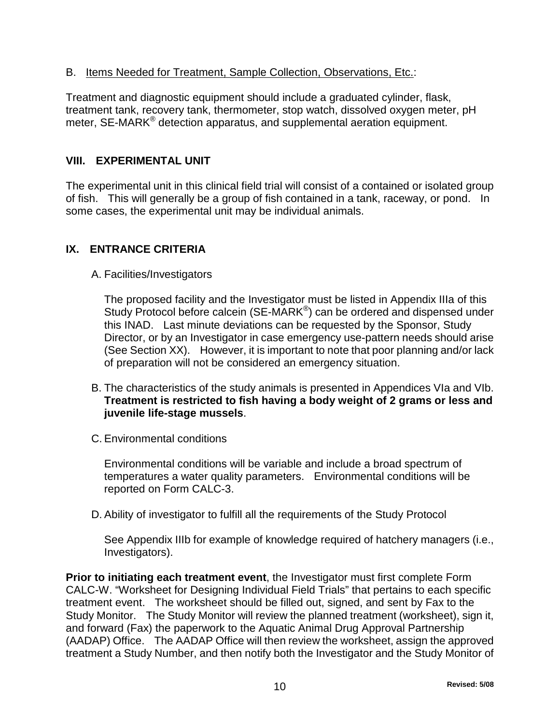## B. Items Needed for Treatment, Sample Collection, Observations, Etc.:

Treatment and diagnostic equipment should include a graduated cylinder, flask, treatment tank, recovery tank, thermometer, stop watch, dissolved oxygen meter, pH meter. SE-MARK<sup>®</sup> detection apparatus, and supplemental aeration equipment.

## <span id="page-9-0"></span>**VIII. EXPERIMENTAL UNIT**

The experimental unit in this clinical field trial will consist of a contained or isolated group of fish. This will generally be a group of fish contained in a tank, raceway, or pond. In some cases, the experimental unit may be individual animals.

## **IX. ENTRANCE CRITERIA**

#### A. Facilities/Investigators

<span id="page-9-1"></span>The proposed facility and the Investigator must be listed in Appendix IIIa of this Study Protocol before calcein (SE-MARK<sup>®</sup>) can be ordered and dispensed under this INAD. Last minute deviations can be requested by the Sponsor, Study Director, or by an Investigator in case emergency use-pattern needs should arise (See Section XX). However, it is important to note that poor planning and/or lack of preparation will not be considered an emergency situation.

- B. The characteristics of the study animals is presented in Appendices VIa and VIb. **Treatment is restricted to fish having a body weight of 2 grams or less and juvenile life-stage mussels**.
- C. Environmental conditions

Environmental conditions will be variable and include a broad spectrum of temperatures a water quality parameters. Environmental conditions will be reported on Form CALC-3.

D. Ability of investigator to fulfill all the requirements of the Study Protocol

See Appendix IIIb for example of knowledge required of hatchery managers (i.e., Investigators).

**Prior to initiating each treatment event**, the Investigator must first complete Form CALC-W. "Worksheet for Designing Individual Field Trials" that pertains to each specific treatment event. The worksheet should be filled out, signed, and sent by Fax to the Study Monitor. The Study Monitor will review the planned treatment (worksheet), sign it, and forward (Fax) the paperwork to the Aquatic Animal Drug Approval Partnership (AADAP) Office. The AADAP Office will then review the worksheet, assign the approved treatment a Study Number, and then notify both the Investigator and the Study Monitor of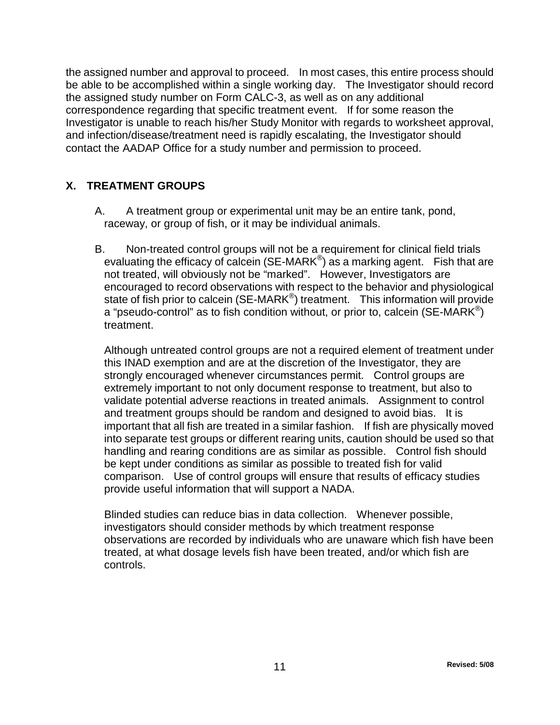the assigned number and approval to proceed. In most cases, this entire process should be able to be accomplished within a single working day. The Investigator should record the assigned study number on Form CALC-3, as well as on any additional correspondence regarding that specific treatment event. If for some reason the Investigator is unable to reach his/her Study Monitor with regards to worksheet approval, and infection/disease/treatment need is rapidly escalating, the Investigator should contact the AADAP Office for a study number and permission to proceed.

# **X. TREATMENT GROUPS**

- <span id="page-10-0"></span> A. A treatment group or experimental unit may be an entire tank, pond, raceway, or group of fish, or it may be individual animals.
- B. Non-treated control groups will not be a requirement for clinical field trials evaluating the efficacy of calcein (SE-MARK<sup>®</sup>) as a marking agent. Fish that are not treated, will obviously not be "marked". However, Investigators are encouraged to record observations with respect to the behavior and physiological state of fish prior to calcein (SE-MARK<sup>®</sup>) treatment. This information will provide a "pseudo-control" as to fish condition without, or prior to, calcein (SE-MARK<sup>®</sup>) treatment.

Although untreated control groups are not a required element of treatment under this INAD exemption and are at the discretion of the Investigator, they are strongly encouraged whenever circumstances permit. Control groups are extremely important to not only document response to treatment, but also to validate potential adverse reactions in treated animals. Assignment to control and treatment groups should be random and designed to avoid bias. It is important that all fish are treated in a similar fashion. If fish are physically moved into separate test groups or different rearing units, caution should be used so that handling and rearing conditions are as similar as possible. Control fish should be kept under conditions as similar as possible to treated fish for valid comparison. Use of control groups will ensure that results of efficacy studies provide useful information that will support a NADA.

Blinded studies can reduce bias in data collection. Whenever possible, investigators should consider methods by which treatment response observations are recorded by individuals who are unaware which fish have been treated, at what dosage levels fish have been treated, and/or which fish are controls.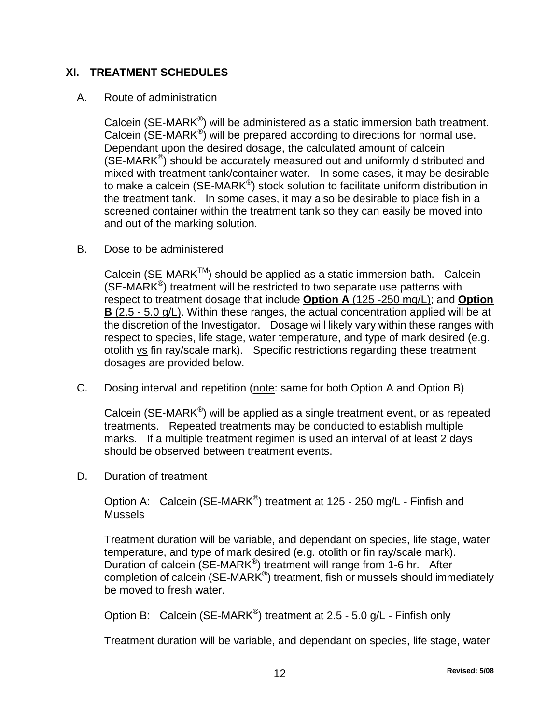#### **XI. TREATMENT SCHEDULES**

#### A. Route of administration

<span id="page-11-0"></span>Calcein (SE-MARK®) will be administered as a static immersion bath treatment. Calcein (SE-MARK<sup>®</sup>) will be prepared according to directions for normal use. Dependant upon the desired dosage, the calculated amount of calcein  $(SE\text{-}MARK^{\circledast})$  should be accurately measured out and uniformly distributed and mixed with treatment tank/container water. In some cases, it may be desirable to make a calcein (SE-MARK<sup>®</sup>) stock solution to facilitate uniform distribution in the treatment tank. In some cases, it may also be desirable to place fish in a screened container within the treatment tank so they can easily be moved into and out of the marking solution.

B. Dose to be administered

Calcein (SE-MARK<sup>™</sup>) should be applied as a static immersion bath. Calcein  $(SE\text{-}MARK^{\circledast})$  treatment will be restricted to two separate use patterns with respect to treatment dosage that include **Option A** (125 -250 mg/L); and **Option B** (2.5 - 5.0 g/L). Within these ranges, the actual concentration applied will be at the discretion of the Investigator. Dosage will likely vary within these ranges with respect to species, life stage, water temperature, and type of mark desired (e.g. otolith vs fin ray/scale mark). Specific restrictions regarding these treatment dosages are provided below.

C. Dosing interval and repetition (note: same for both Option A and Option B)

Calcein (SE-MARK®) will be applied as a single treatment event, or as repeated treatments. Repeated treatments may be conducted to establish multiple marks. If a multiple treatment regimen is used an interval of at least 2 days should be observed between treatment events.

D. Duration of treatment

Option A: Calcein (SE-MARK®) treatment at 125 - 250 mg/L - Finfish and Mussels

Treatment duration will be variable, and dependant on species, life stage, water temperature, and type of mark desired (e.g. otolith or fin ray/scale mark). Duration of calcein (SE-MARK<sup>®</sup>) treatment will range from 1-6 hr. After completion of calcein (SE-MARK<sup>®</sup>) treatment, fish or mussels should immediately be moved to fresh water.

Option B: Calcein (SE-MARK<sup>®</sup>) treatment at 2.5 - 5.0 g/L - Finfish only

Treatment duration will be variable, and dependant on species, life stage, water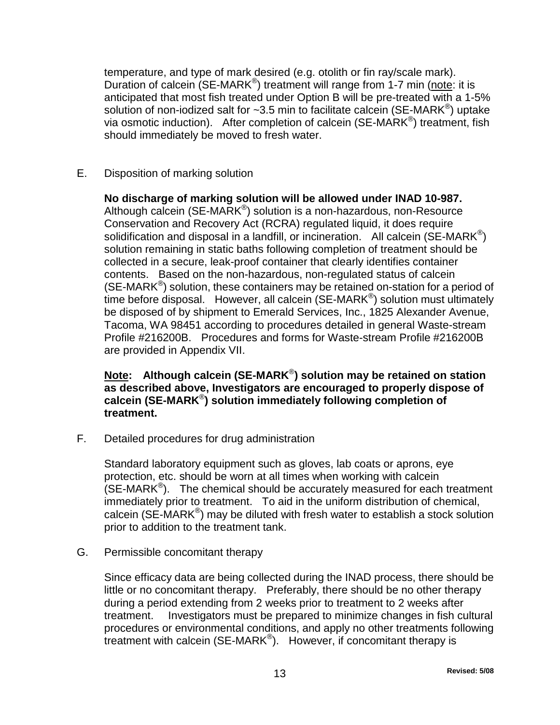temperature, and type of mark desired (e.g. otolith or fin ray/scale mark). Duration of calcein (SE-MARK<sup>®</sup>) treatment will range from 1-7 min (note: it is anticipated that most fish treated under Option B will be pre-treated with a 1-5% solution of non-iodized salt for  $\sim$ 3.5 min to facilitate calcein (SE-MARK<sup>®</sup>) uptake via osmotic induction). After completion of calcein (SE-MARK®) treatment, fish should immediately be moved to fresh water.

E. Disposition of marking solution

**No discharge of marking solution will be allowed under INAD 10-987.** Although calcein (SE-MARK<sup>®</sup>) solution is a non-hazardous, non-Resource Conservation and Recovery Act (RCRA) regulated liquid, it does require solidification and disposal in a landfill, or incineration. All calcein (SE-MARK<sup>®</sup>) solution remaining in static baths following completion of treatment should be collected in a secure, leak-proof container that clearly identifies container contents. Based on the non-hazardous, non-regulated status of calcein  $(SE\text{-}MARK^{\circledast})$  solution, these containers may be retained on-station for a period of time before disposal. However, all calcein (SE-MARK®) solution must ultimately be disposed of by shipment to Emerald Services, Inc., 1825 Alexander Avenue, Tacoma, WA 98451 according to procedures detailed in general Waste-stream Profile #216200B. Procedures and forms for Waste-stream Profile #216200B are provided in Appendix VII.

## **Note: Although calcein (SE-MARK**®**) solution may be retained on station as described above, Investigators are encouraged to properly dispose of calcein (SE-MARK**®**) solution immediately following completion of treatment.**

F. Detailed procedures for drug administration

Standard laboratory equipment such as gloves, lab coats or aprons, eye protection, etc. should be worn at all times when working with calcein  $(SE\text{-}MARK^{\omega})$ . The chemical should be accurately measured for each treatment immediately prior to treatment. To aid in the uniform distribution of chemical, calcein (SE-MARK®) may be diluted with fresh water to establish a stock solution prior to addition to the treatment tank.

G. Permissible concomitant therapy

Since efficacy data are being collected during the INAD process, there should be little or no concomitant therapy. Preferably, there should be no other therapy during a period extending from 2 weeks prior to treatment to 2 weeks after treatment. Investigators must be prepared to minimize changes in fish cultural procedures or environmental conditions, and apply no other treatments following treatment with calcein  $(SE\text{-}MARK^{\circledast})$ . However, if concomitant therapy is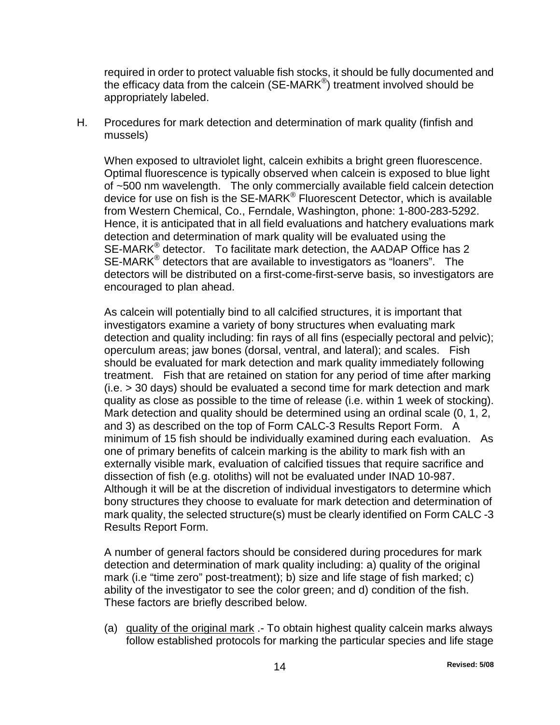required in order to protect valuable fish stocks, it should be fully documented and the efficacy data from the calcein (SE-MARK®) treatment involved should be appropriately labeled.

H. Procedures for mark detection and determination of mark quality (finfish and mussels)

When exposed to ultraviolet light, calcein exhibits a bright green fluorescence. Optimal fluorescence is typically observed when calcein is exposed to blue light of ~500 nm wavelength. The only commercially available field calcein detection device for use on fish is the SE-MARK® Fluorescent Detector, which is available from Western Chemical, Co., Ferndale, Washington, phone: 1-800-283-5292. Hence, it is anticipated that in all field evaluations and hatchery evaluations mark detection and determination of mark quality will be evaluated using the SE-MARK $^{\circ}$  detector. To facilitate mark detection, the AADAP Office has 2 SE-MARK<sup>®</sup> detectors that are available to investigators as "loaners". The detectors will be distributed on a first-come-first-serve basis, so investigators are encouraged to plan ahead.

As calcein will potentially bind to all calcified structures, it is important that investigators examine a variety of bony structures when evaluating mark detection and quality including: fin rays of all fins (especially pectoral and pelvic); operculum areas; jaw bones (dorsal, ventral, and lateral); and scales. Fish should be evaluated for mark detection and mark quality immediately following treatment. Fish that are retained on station for any period of time after marking (i.e. > 30 days) should be evaluated a second time for mark detection and mark quality as close as possible to the time of release (i.e. within 1 week of stocking). Mark detection and quality should be determined using an ordinal scale (0, 1, 2, and 3) as described on the top of Form CALC-3 Results Report Form. A minimum of 15 fish should be individually examined during each evaluation. As one of primary benefits of calcein marking is the ability to mark fish with an externally visible mark, evaluation of calcified tissues that require sacrifice and dissection of fish (e.g. otoliths) will not be evaluated under INAD 10-987. Although it will be at the discretion of individual investigators to determine which bony structures they choose to evaluate for mark detection and determination of mark quality, the selected structure(s) must be clearly identified on Form CALC -3 Results Report Form.

A number of general factors should be considered during procedures for mark detection and determination of mark quality including: a) quality of the original mark (i.e "time zero" post-treatment); b) size and life stage of fish marked; c) ability of the investigator to see the color green; and d) condition of the fish. These factors are briefly described below.

(a) quality of the original mark .- To obtain highest quality calcein marks always follow established protocols for marking the particular species and life stage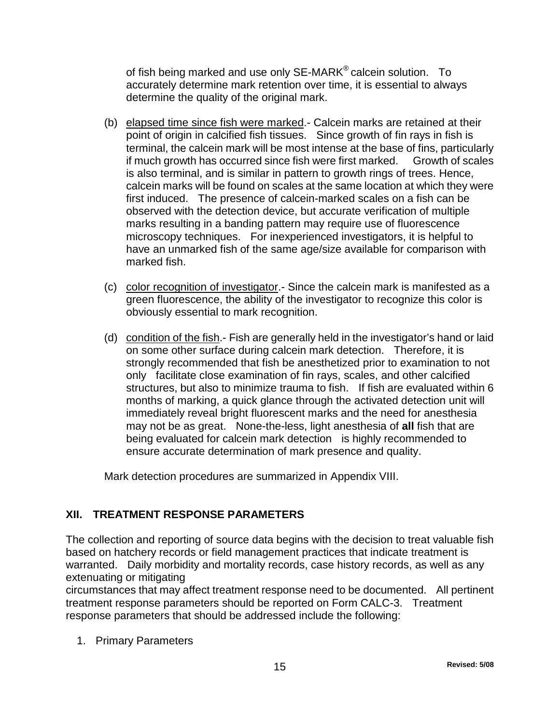of fish being marked and use only SE-MARK<sup>®</sup> calcein solution. To accurately determine mark retention over time, it is essential to always determine the quality of the original mark.

- (b) elapsed time since fish were marked.- Calcein marks are retained at their point of origin in calcified fish tissues. Since growth of fin rays in fish is terminal, the calcein mark will be most intense at the base of fins, particularly if much growth has occurred since fish were first marked. Growth of scales is also terminal, and is similar in pattern to growth rings of trees. Hence, calcein marks will be found on scales at the same location at which they were first induced. The presence of calcein-marked scales on a fish can be observed with the detection device, but accurate verification of multiple marks resulting in a banding pattern may require use of fluorescence microscopy techniques. For inexperienced investigators, it is helpful to have an unmarked fish of the same age/size available for comparison with marked fish.
- (c) color recognition of investigator.- Since the calcein mark is manifested as a green fluorescence, the ability of the investigator to recognize this color is obviously essential to mark recognition.
- (d) condition of the fish.- Fish are generally held in the investigator's hand or laid on some other surface during calcein mark detection. Therefore, it is strongly recommended that fish be anesthetized prior to examination to not only facilitate close examination of fin rays, scales, and other calcified structures, but also to minimize trauma to fish. If fish are evaluated within 6 months of marking, a quick glance through the activated detection unit will immediately reveal bright fluorescent marks and the need for anesthesia may not be as great. None-the-less, light anesthesia of **all** fish that are being evaluated for calcein mark detection is highly recommended to ensure accurate determination of mark presence and quality.

<span id="page-14-0"></span>Mark detection procedures are summarized in Appendix VIII.

# **XII. TREATMENT RESPONSE PARAMETERS**

The collection and reporting of source data begins with the decision to treat valuable fish based on hatchery records or field management practices that indicate treatment is warranted. Daily morbidity and mortality records, case history records, as well as any extenuating or mitigating

circumstances that may affect treatment response need to be documented. All pertinent treatment response parameters should be reported on Form CALC-3. Treatment response parameters that should be addressed include the following:

1. Primary Parameters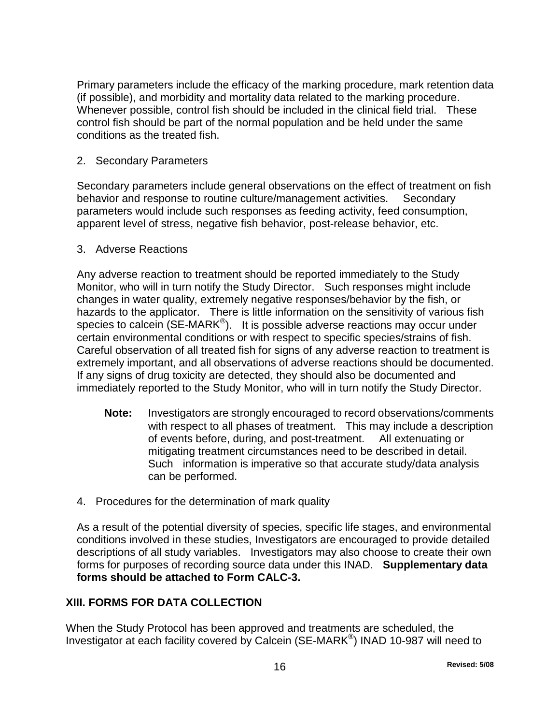Primary parameters include the efficacy of the marking procedure, mark retention data (if possible), and morbidity and mortality data related to the marking procedure. Whenever possible, control fish should be included in the clinical field trial. These control fish should be part of the normal population and be held under the same conditions as the treated fish.

2. Secondary Parameters

Secondary parameters include general observations on the effect of treatment on fish behavior and response to routine culture/management activities. Secondary parameters would include such responses as feeding activity, feed consumption, apparent level of stress, negative fish behavior, post-release behavior, etc.

3. Adverse Reactions

Any adverse reaction to treatment should be reported immediately to the Study Monitor, who will in turn notify the Study Director. Such responses might include changes in water quality, extremely negative responses/behavior by the fish, or hazards to the applicator. There is little information on the sensitivity of various fish species to calcein (SE-MARK<sup>®</sup>). It is possible adverse reactions may occur under certain environmental conditions or with respect to specific species/strains of fish. Careful observation of all treated fish for signs of any adverse reaction to treatment is extremely important, and all observations of adverse reactions should be documented. If any signs of drug toxicity are detected, they should also be documented and immediately reported to the Study Monitor, who will in turn notify the Study Director.

- **Note:** Investigators are strongly encouraged to record observations/comments with respect to all phases of treatment. This may include a description of events before, during, and post-treatment. All extenuating or mitigating treatment circumstances need to be described in detail. Such information is imperative so that accurate study/data analysis can be performed.
- 4. Procedures for the determination of mark quality

As a result of the potential diversity of species, specific life stages, and environmental conditions involved in these studies, Investigators are encouraged to provide detailed descriptions of all study variables. Investigators may also choose to create their own forms for purposes of recording source data under this INAD. **Supplementary data forms should be attached to Form CALC-3.**

# <span id="page-15-0"></span>**XIII. FORMS FOR DATA COLLECTION**

When the Study Protocol has been approved and treatments are scheduled, the Investigator at each facility covered by Calcein (SE-MARK®) INAD 10-987 will need to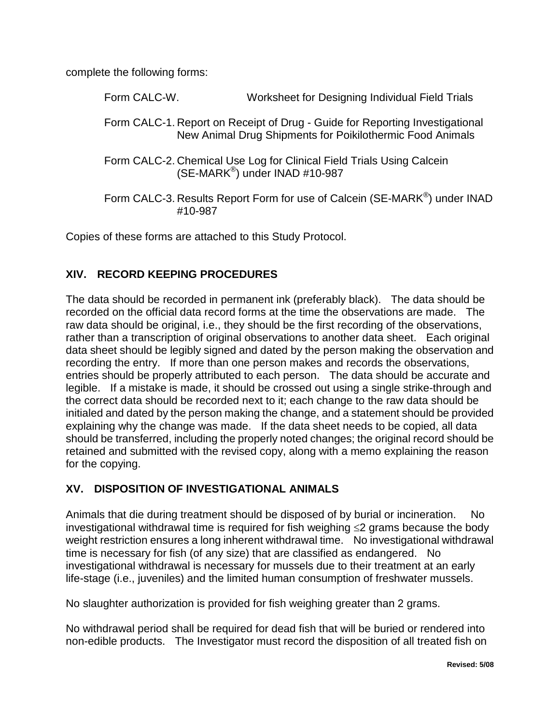complete the following forms:

| Form CALC-W. |         | Worksheet for Designing Individual Field Trials                                                                                           |
|--------------|---------|-------------------------------------------------------------------------------------------------------------------------------------------|
|              |         | Form CALC-1. Report on Receipt of Drug - Guide for Reporting Investigational<br>New Animal Drug Shipments for Poikilothermic Food Animals |
|              |         | Form CALC-2. Chemical Use Log for Clinical Field Trials Using Calcein<br>(SE-MARK <sup>®</sup> ) under INAD #10-987                       |
|              | #10-987 | Form CALC-3. Results Report Form for use of Calcein (SE-MARK®) under INAD                                                                 |

Copies of these forms are attached to this Study Protocol.

# <span id="page-16-0"></span>**XIV. RECORD KEEPING PROCEDURES**

The data should be recorded in permanent ink (preferably black). The data should be recorded on the official data record forms at the time the observations are made. The raw data should be original, i.e., they should be the first recording of the observations, rather than a transcription of original observations to another data sheet. Each original data sheet should be legibly signed and dated by the person making the observation and recording the entry. If more than one person makes and records the observations, entries should be properly attributed to each person. The data should be accurate and legible. If a mistake is made, it should be crossed out using a single strike-through and the correct data should be recorded next to it; each change to the raw data should be initialed and dated by the person making the change, and a statement should be provided explaining why the change was made. If the data sheet needs to be copied, all data should be transferred, including the properly noted changes; the original record should be retained and submitted with the revised copy, along with a memo explaining the reason for the copying.

# <span id="page-16-1"></span>**XV. DISPOSITION OF INVESTIGATIONAL ANIMALS**

Animals that die during treatment should be disposed of by burial or incineration. No investigational withdrawal time is required for fish weighing ≤2 grams because the body weight restriction ensures a long inherent withdrawal time. No investigational withdrawal time is necessary for fish (of any size) that are classified as endangered. No investigational withdrawal is necessary for mussels due to their treatment at an early life-stage (i.e., juveniles) and the limited human consumption of freshwater mussels.

No slaughter authorization is provided for fish weighing greater than 2 grams.

No withdrawal period shall be required for dead fish that will be buried or rendered into non-edible products. The Investigator must record the disposition of all treated fish on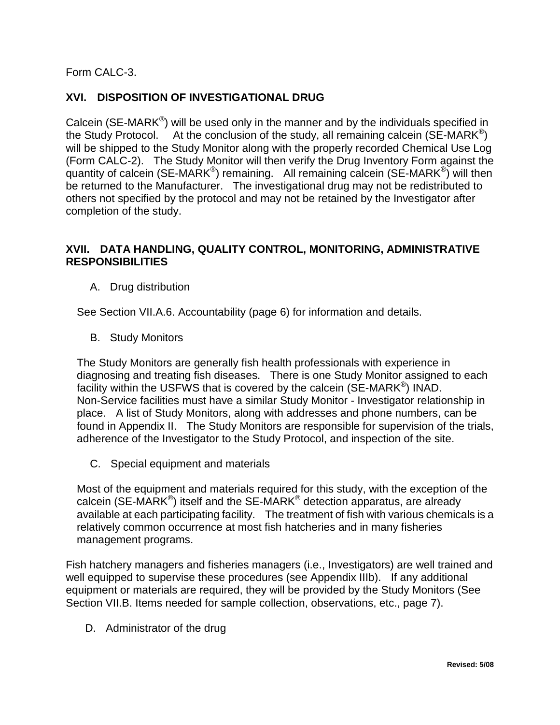Form CALC-3.

# <span id="page-17-0"></span>**XVI. DISPOSITION OF INVESTIGATIONAL DRUG**

Calcein (SE-MARK®) will be used only in the manner and by the individuals specified in the Study Protocol. At the conclusion of the study, all remaining calcein (SE-MARK<sup>®</sup>) will be shipped to the Study Monitor along with the properly recorded Chemical Use Log (Form CALC-2). The Study Monitor will then verify the Drug Inventory Form against the quantity of calcein (SE-MARK<sup>®</sup>) remaining. All remaining calcein (SE-MARK<sup>®</sup>) will then be returned to the Manufacturer. The investigational drug may not be redistributed to others not specified by the protocol and may not be retained by the Investigator after completion of the study.

## **XVII. DATA HANDLING, QUALITY CONTROL, MONITORING, ADMINISTRATIVE RESPONSIBILITIES**

<span id="page-17-1"></span>A. Drug distribution

See Section VII.A.6. Accountability (page 6) for information and details.

B. Study Monitors

The Study Monitors are generally fish health professionals with experience in diagnosing and treating fish diseases. There is one Study Monitor assigned to each facility within the USFWS that is covered by the calcein (SE-MARK®) INAD. Non-Service facilities must have a similar Study Monitor - Investigator relationship in place. A list of Study Monitors, along with addresses and phone numbers, can be found in Appendix II. The Study Monitors are responsible for supervision of the trials, adherence of the Investigator to the Study Protocol, and inspection of the site.

C. Special equipment and materials

Most of the equipment and materials required for this study, with the exception of the calcein (SE-MARK $^{\circledR}$ ) itself and the SE-MARK $^{\circledR}$  detection apparatus, are already available at each participating facility. The treatment of fish with various chemicals is a relatively common occurrence at most fish hatcheries and in many fisheries management programs.

Fish hatchery managers and fisheries managers (i.e., Investigators) are well trained and well equipped to supervise these procedures (see Appendix IIIb). If any additional equipment or materials are required, they will be provided by the Study Monitors (See Section VII.B. Items needed for sample collection, observations, etc., page 7).

D. Administrator of the drug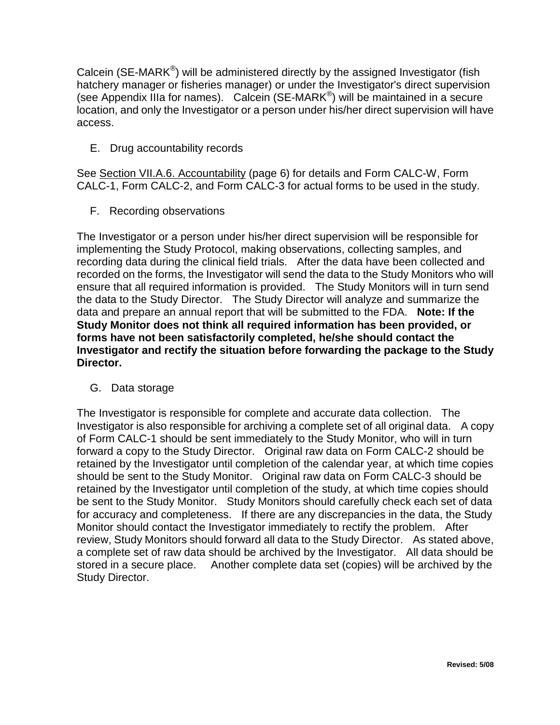Calcein (SE-MARK®) will be administered directly by the assigned Investigator (fish hatchery manager or fisheries manager) or under the Investigator's direct supervision (see Appendix IIIa for names). Calcein (SE-MARK®) will be maintained in a secure location, and only the Investigator or a person under his/her direct supervision will have access.

E. Drug accountability records

See Section VII.A.6. Accountability (page 6) for details and Form CALC-W, Form CALC-1, Form CALC-2, and Form CALC-3 for actual forms to be used in the study.

F. Recording observations

The Investigator or a person under his/her direct supervision will be responsible for implementing the Study Protocol, making observations, collecting samples, and recording data during the clinical field trials. After the data have been collected and recorded on the forms, the Investigator will send the data to the Study Monitors who will ensure that all required information is provided. The Study Monitors will in turn send the data to the Study Director. The Study Director will analyze and summarize the data and prepare an annual report that will be submitted to the FDA. **Note: If the Study Monitor does not think all required information has been provided, or forms have not been satisfactorily completed, he/she should contact the Investigator and rectify the situation before forwarding the package to the Study Director.**

G. Data storage

The Investigator is responsible for complete and accurate data collection. The Investigator is also responsible for archiving a complete set of all original data. A copy of Form CALC-1 should be sent immediately to the Study Monitor, who will in turn forward a copy to the Study Director. Original raw data on Form CALC-2 should be retained by the Investigator until completion of the calendar year, at which time copies should be sent to the Study Monitor. Original raw data on Form CALC-3 should be retained by the Investigator until completion of the study, at which time copies should be sent to the Study Monitor. Study Monitors should carefully check each set of data for accuracy and completeness. If there are any discrepancies in the data, the Study Monitor should contact the Investigator immediately to rectify the problem. After review, Study Monitors should forward all data to the Study Director. As stated above, a complete set of raw data should be archived by the Investigator. All data should be stored in a secure place. Another complete data set (copies) will be archived by the Study Director.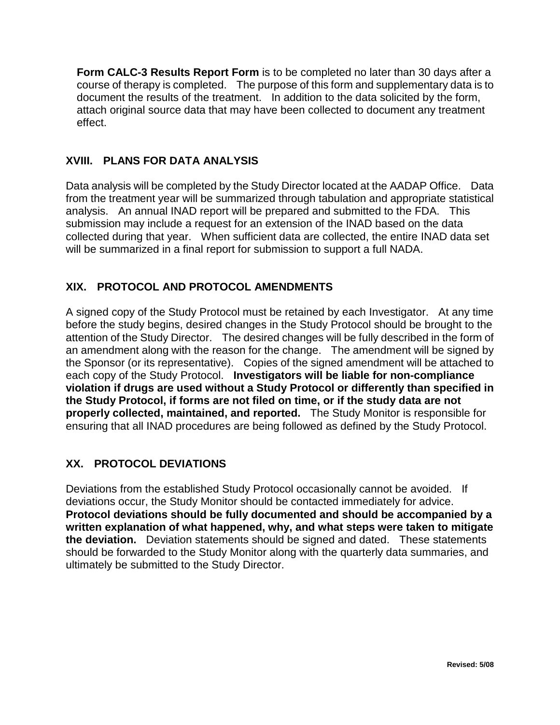**Form CALC-3 Results Report Form** is to be completed no later than 30 days after a course of therapy is completed. The purpose of this form and supplementary data is to document the results of the treatment. In addition to the data solicited by the form, attach original source data that may have been collected to document any treatment effect.

## <span id="page-19-0"></span>**XVIII. PLANS FOR DATA ANALYSIS**

Data analysis will be completed by the Study Director located at the AADAP Office. Data from the treatment year will be summarized through tabulation and appropriate statistical analysis. An annual INAD report will be prepared and submitted to the FDA. This submission may include a request for an extension of the INAD based on the data collected during that year. When sufficient data are collected, the entire INAD data set will be summarized in a final report for submission to support a full NADA.

# <span id="page-19-1"></span>**XIX. PROTOCOL AND PROTOCOL AMENDMENTS**

A signed copy of the Study Protocol must be retained by each Investigator. At any time before the study begins, desired changes in the Study Protocol should be brought to the attention of the Study Director. The desired changes will be fully described in the form of an amendment along with the reason for the change. The amendment will be signed by the Sponsor (or its representative). Copies of the signed amendment will be attached to each copy of the Study Protocol. **Investigators will be liable for non-compliance violation if drugs are used without a Study Protocol or differently than specified in the Study Protocol, if forms are not filed on time, or if the study data are not properly collected, maintained, and reported.** The Study Monitor is responsible for ensuring that all INAD procedures are being followed as defined by the Study Protocol.

# <span id="page-19-2"></span>**XX. PROTOCOL DEVIATIONS**

Deviations from the established Study Protocol occasionally cannot be avoided. If deviations occur, the Study Monitor should be contacted immediately for advice. **Protocol deviations should be fully documented and should be accompanied by a written explanation of what happened, why, and what steps were taken to mitigate the deviation.** Deviation statements should be signed and dated. These statements should be forwarded to the Study Monitor along with the quarterly data summaries, and ultimately be submitted to the Study Director.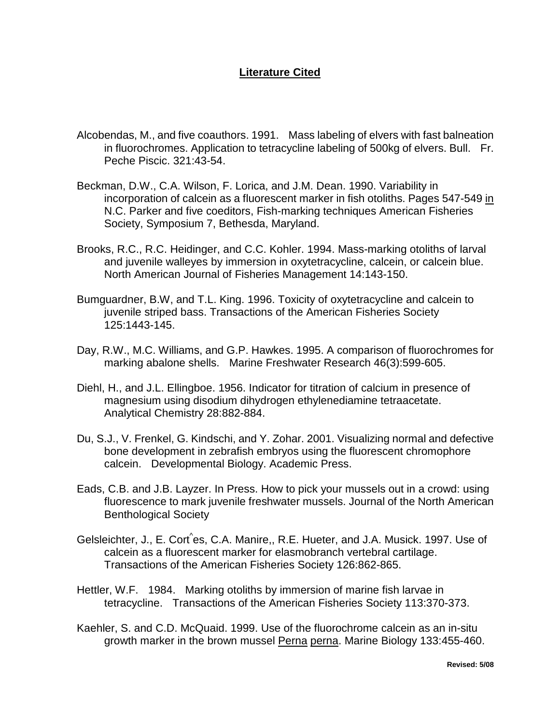#### <span id="page-20-0"></span>**Literature Cited**

- Alcobendas, M., and five coauthors. 1991. Mass labeling of elvers with fast balneation in fluorochromes. Application to tetracycline labeling of 500kg of elvers. Bull. Fr. Peche Piscic. 321:43-54.
- Beckman, D.W., C.A. Wilson, F. Lorica, and J.M. Dean. 1990. Variability in incorporation of calcein as a fluorescent marker in fish otoliths. Pages 547-549 in N.C. Parker and five coeditors, Fish-marking techniques American Fisheries Society, Symposium 7, Bethesda, Maryland.
- Brooks, R.C., R.C. Heidinger, and C.C. Kohler. 1994. Mass-marking otoliths of larval and juvenile walleyes by immersion in oxytetracycline, calcein, or calcein blue. North American Journal of Fisheries Management 14:143-150.
- Bumguardner, B.W, and T.L. King. 1996. Toxicity of oxytetracycline and calcein to juvenile striped bass. Transactions of the American Fisheries Society 125:1443-145.
- Day, R.W., M.C. Williams, and G.P. Hawkes. 1995. A comparison of fluorochromes for marking abalone shells. Marine Freshwater Research 46(3):599-605.
- Diehl, H., and J.L. Ellingboe. 1956. Indicator for titration of calcium in presence of magnesium using disodium dihydrogen ethylenediamine tetraacetate. Analytical Chemistry 28:882-884.
- Du, S.J., V. Frenkel, G. Kindschi, and Y. Zohar. 2001. Visualizing normal and defective bone development in zebrafish embryos using the fluorescent chromophore calcein. Developmental Biology. Academic Press.
- Eads, C.B. and J.B. Layzer. In Press. How to pick your mussels out in a crowd: using fluorescence to mark juvenile freshwater mussels. Journal of the North American Benthological Society
- Gelsleichter, J., E. Cort^es, C.A. Manire,, R.E. Hueter, and J.A. Musick. 1997. Use of calcein as a fluorescent marker for elasmobranch vertebral cartilage. Transactions of the American Fisheries Society 126:862-865.
- Hettler, W.F. 1984. Marking otoliths by immersion of marine fish larvae in tetracycline. Transactions of the American Fisheries Society 113:370-373.
- Kaehler, S. and C.D. McQuaid. 1999. Use of the fluorochrome calcein as an in-situ growth marker in the brown mussel Perna perna. Marine Biology 133:455-460.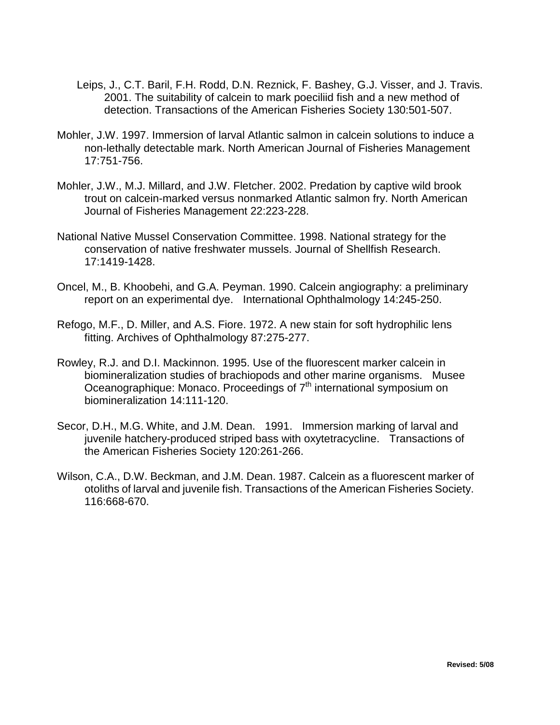- Leips, J., C.T. Baril, F.H. Rodd, D.N. Reznick, F. Bashey, G.J. Visser, and J. Travis. 2001. The suitability of calcein to mark poeciliid fish and a new method of detection. Transactions of the American Fisheries Society 130:501-507.
- Mohler, J.W. 1997. Immersion of larval Atlantic salmon in calcein solutions to induce a non-lethally detectable mark. North American Journal of Fisheries Management 17:751-756.
- Mohler, J.W., M.J. Millard, and J.W. Fletcher. 2002. Predation by captive wild brook trout on calcein-marked versus nonmarked Atlantic salmon fry. North American Journal of Fisheries Management 22:223-228.
- National Native Mussel Conservation Committee. 1998. National strategy for the conservation of native freshwater mussels. Journal of Shellfish Research. 17:1419-1428.
- Oncel, M., B. Khoobehi, and G.A. Peyman. 1990. Calcein angiography: a preliminary report on an experimental dye. International Ophthalmology 14:245-250.
- Refogo, M.F., D. Miller, and A.S. Fiore. 1972. A new stain for soft hydrophilic lens fitting. Archives of Ophthalmology 87:275-277.
- Rowley, R.J. and D.I. Mackinnon. 1995. Use of the fluorescent marker calcein in biomineralization studies of brachiopods and other marine organisms. Musee Oceanographique: Monaco. Proceedings of  $7<sup>th</sup>$  international symposium on biomineralization 14:111-120.
- Secor, D.H., M.G. White, and J.M. Dean. 1991. Immersion marking of larval and juvenile hatchery-produced striped bass with oxytetracycline. Transactions of the American Fisheries Society 120:261-266.
- Wilson, C.A., D.W. Beckman, and J.M. Dean. 1987. Calcein as a fluorescent marker of otoliths of larval and juvenile fish. Transactions of the American Fisheries Society. 116:668-670.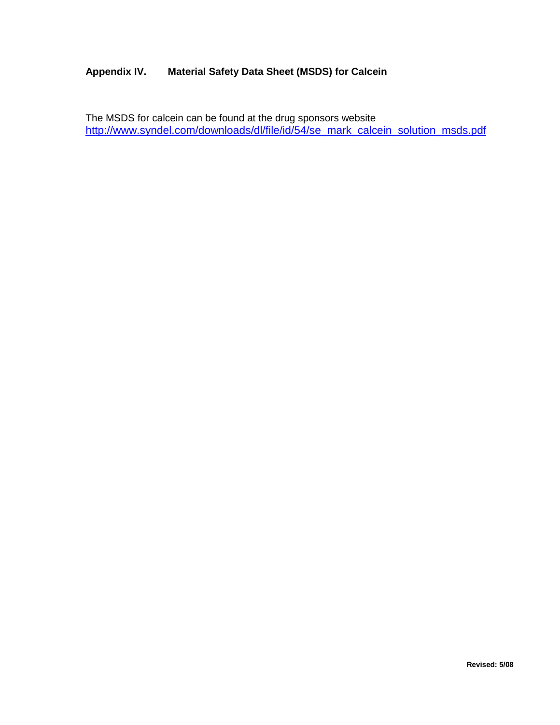#### <span id="page-22-0"></span>**Appendix IV. Material Safety Data Sheet (MSDS) for Calcein**

The MSDS for calcein can be found at the drug sponsors website [http://www.syndel.com/downloads/dl/file/id/54/se\\_mark\\_calcein\\_solution\\_msds.pdf](http://www.syndel.com/downloads/dl/file/id/54/se_mark_calcein_solution_msds.pdf)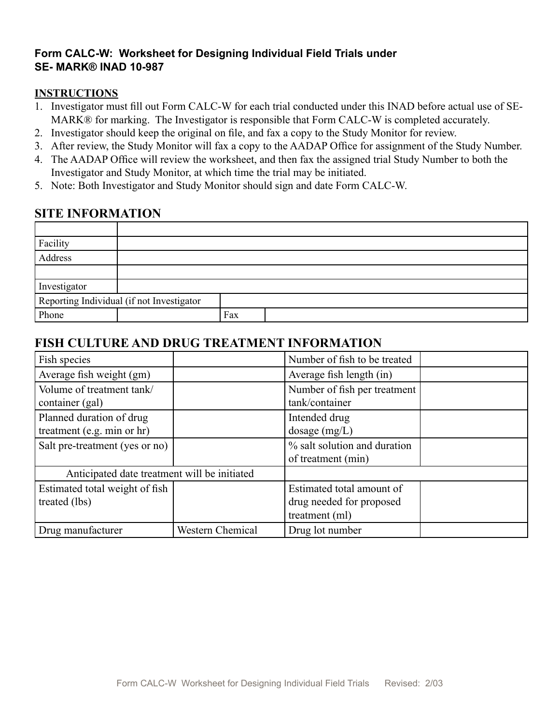## **Form CALC-W: Worksheet for Designing Individual Field Trials under SE- MARK® INAD 10-987**

#### **INSTRUCTIONS**

- 1. Investigator must fill out Form CALC-W for each trial conducted under this INAD before actual use of SE-MARK® for marking. The Investigator is responsible that Form CALC-W is completed accurately.
- 2. Investigator should keep the original on file, and fax a copy to the Study Monitor for review.
- 3. After review, the Study Monitor will fax a copy to the AADAP Office for assignment of the Study Number.
- 4. The AADAP Office will review the worksheet, and then fax the assigned trial Study Number to both the Investigator and Study Monitor, at which time the trial may be initiated.
- 5. Note: Both Investigator and Study Monitor should sign and date Form CALC-W.

# **SITE INFORMATION**

| Facility     |                                           |     |  |
|--------------|-------------------------------------------|-----|--|
| Address      |                                           |     |  |
|              |                                           |     |  |
| Investigator |                                           |     |  |
|              | Reporting Individual (if not Investigator |     |  |
| Phone        |                                           | Fax |  |

# **FISH CULTURE AND DRUG TREATMENT INFORMATION**

| Fish species                                           |                         | Number of fish to be treated                                            |  |
|--------------------------------------------------------|-------------------------|-------------------------------------------------------------------------|--|
| Average fish weight (gm)                               |                         | Average fish length (in)                                                |  |
| Volume of treatment tank/<br>container (gal)           |                         | Number of fish per treatment<br>tank/container                          |  |
| Planned duration of drug<br>treatment (e.g. min or hr) |                         | Intended drug<br>dosage $(mg/L)$                                        |  |
| Salt pre-treatment (yes or no)                         |                         | % salt solution and duration<br>of treatment (min)                      |  |
| Anticipated date treatment will be initiated           |                         |                                                                         |  |
| Estimated total weight of fish<br>treated (lbs)        |                         | Estimated total amount of<br>drug needed for proposed<br>treatment (ml) |  |
| Drug manufacturer                                      | <b>Western Chemical</b> | Drug lot number                                                         |  |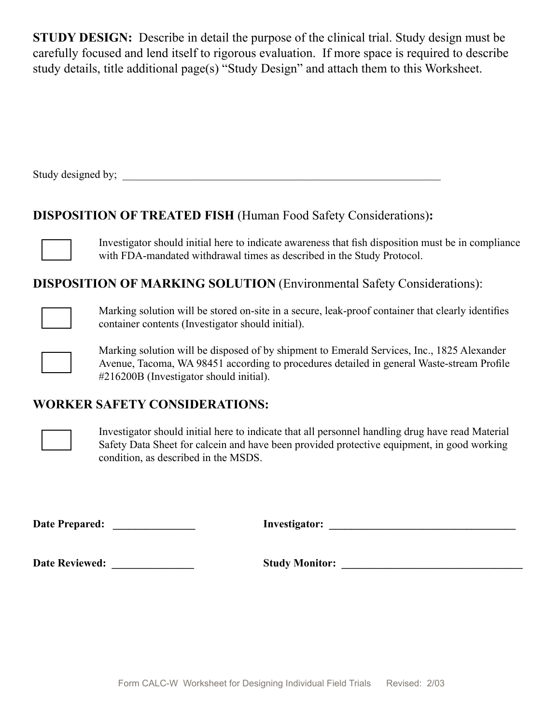**STUDY DESIGN:** Describe in detail the purpose of the clinical trial. Study design must be carefully focused and lend itself to rigorous evaluation. If more space is required to describe study details, title additional page(s) "Study Design" and attach them to this Worksheet.

Study designed by; \_\_\_\_\_\_\_\_\_\_\_\_\_\_\_\_\_\_\_\_\_\_\_\_\_\_\_\_\_\_\_\_\_\_\_\_\_\_\_\_\_\_\_\_\_\_\_\_\_\_\_\_\_\_\_\_\_\_

# **DISPOSITION OF TREATED FISH** (Human Food Safety Considerations)**:**

Investigator should initial here to indicate awareness that fish disposition must be in compliance with FDA-mandated withdrawal times as described in the Study Protocol.

**DISPOSITION OF MARKING SOLUTION** (Environmental Safety Considerations):



Marking solution will be stored on-site in a secure, leak-proof container that clearly identifies container contents (Investigator should initial).



Marking solution will be disposed of by shipment to Emerald Services, Inc., 1825 Alexander Avenue, Tacoma, WA 98451 according to procedures detailed in general Waste-stream Profile #216200B (Investigator should initial).

# **WORKER SAFETY CONSIDERATIONS:**



Investigator should initial here to indicate that all personnel handling drug have read Material Safety Data Sheet for calcein and have been provided protective equipment, in good working condition, as described in the MSDS.

**Date Prepared: \_\_\_\_\_\_\_\_\_\_\_\_\_\_\_ Investigator: \_\_\_\_\_\_\_\_\_\_\_\_\_\_\_\_\_\_\_\_\_\_\_\_\_\_\_\_\_\_\_\_\_\_**

**Date Reviewed: \_\_\_\_\_\_\_\_\_\_\_\_\_\_\_ Study Monitor: \_\_\_\_\_\_\_\_\_\_\_\_\_\_\_\_\_\_\_\_\_\_\_\_\_\_\_\_\_\_\_\_\_**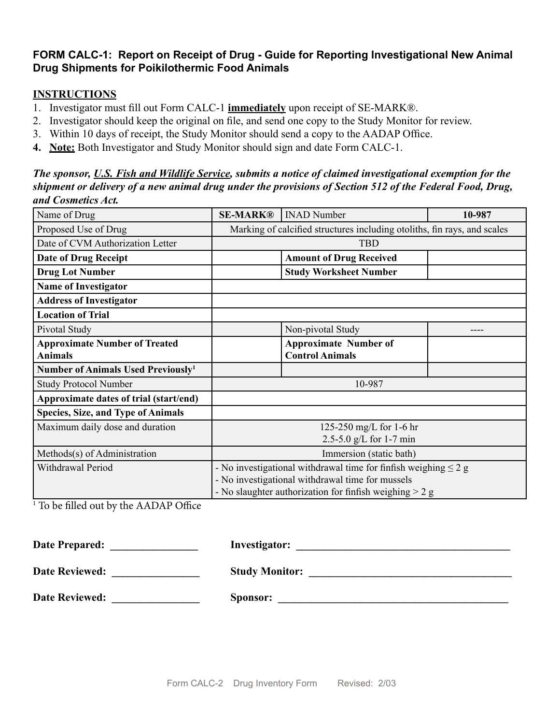## **FORM CALC-1: Report on Receipt of Drug - Guide for Reporting Investigational New Animal Drug Shipments for Poikilothermic Food Animals**

#### **INSTRUCTIONS**

- 1. Investigator must fill out Form CALC-1 **immediately** upon receipt of SE-MARK®.
- 2. Investigator should keep the original on file, and send one copy to the Study Monitor for review.
- 3. Within 10 days of receipt, the Study Monitor should send a copy to the AADAP Office.
- **4. Note:** Both Investigator and Study Monitor should sign and date Form CALC-1.

*The sponsor, U.S. Fish and Wildlife Service, submits a notice of claimed investigational exemption for the shipment or delivery of a new animal drug under the provisions of Section 512 of the Federal Food, Drug, and Cosmetics Act.* 

| Name of Drug                                   | <b>SE-MARK®</b>                                                          | <b>INAD Number</b>                                        | 10-987 |  |  |  |  |
|------------------------------------------------|--------------------------------------------------------------------------|-----------------------------------------------------------|--------|--|--|--|--|
| Proposed Use of Drug                           | Marking of calcified structures including otoliths, fin rays, and scales |                                                           |        |  |  |  |  |
| Date of CVM Authorization Letter               | <b>TBD</b>                                                               |                                                           |        |  |  |  |  |
| <b>Date of Drug Receipt</b>                    |                                                                          | <b>Amount of Drug Received</b>                            |        |  |  |  |  |
| <b>Drug Lot Number</b>                         |                                                                          | <b>Study Worksheet Number</b>                             |        |  |  |  |  |
| <b>Name of Investigator</b>                    |                                                                          |                                                           |        |  |  |  |  |
| <b>Address of Investigator</b>                 |                                                                          |                                                           |        |  |  |  |  |
| <b>Location of Trial</b>                       |                                                                          |                                                           |        |  |  |  |  |
| Pivotal Study                                  |                                                                          | Non-pivotal Study                                         |        |  |  |  |  |
| <b>Approximate Number of Treated</b>           |                                                                          | <b>Approximate Number of</b>                              |        |  |  |  |  |
| <b>Animals</b>                                 |                                                                          | <b>Control Animals</b>                                    |        |  |  |  |  |
| Number of Animals Used Previously <sup>1</sup> |                                                                          |                                                           |        |  |  |  |  |
| <b>Study Protocol Number</b>                   |                                                                          | 10-987                                                    |        |  |  |  |  |
| Approximate dates of trial (start/end)         |                                                                          |                                                           |        |  |  |  |  |
| <b>Species, Size, and Type of Animals</b>      |                                                                          |                                                           |        |  |  |  |  |
| Maximum daily dose and duration                | 125-250 mg/L for 1-6 hr                                                  |                                                           |        |  |  |  |  |
|                                                | 2.5-5.0 g/L for 1-7 min                                                  |                                                           |        |  |  |  |  |
| Methods(s) of Administration                   | Immersion (static bath)                                                  |                                                           |        |  |  |  |  |
| Withdrawal Period                              | - No investigational withdrawal time for finfish weighing $\leq 2$ g     |                                                           |        |  |  |  |  |
|                                                | - No investigational withdrawal time for mussels                         |                                                           |        |  |  |  |  |
|                                                |                                                                          | - No slaughter authorization for finfish weighing $> 2$ g |        |  |  |  |  |

1 To be filled out by the AADAP Office

| Date Prepared:        | <b>Investigator:</b>  |
|-----------------------|-----------------------|
| <b>Date Reviewed:</b> | <b>Study Monitor:</b> |
| <b>Date Reviewed:</b> | Sponsor:              |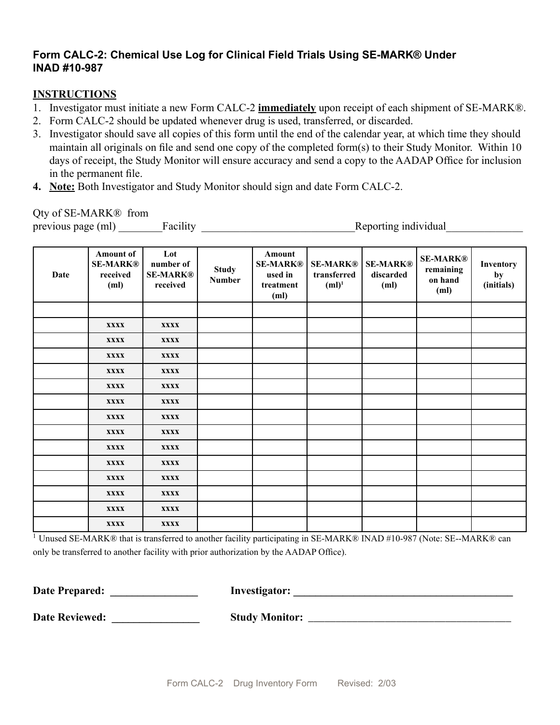# **Form CALC-2: Chemical Use Log for Clinical Field Trials Using SE-MARK® Under INAD #10-987**

#### **INSTRUCTIONS**

- 1. Investigator must initiate a new Form CALC-2 **immediately** upon receipt of each shipment of SE-MARK®.
- 2. Form CALC-2 should be updated whenever drug is used, transferred, or discarded.
- 3. Investigator should save all copies of this form until the end of the calendar year, at which time they should maintain all originals on file and send one copy of the completed form(s) to their Study Monitor. Within 10 days of receipt, the Study Monitor will ensure accuracy and send a copy to the AADAP Office for inclusion in the permanent file.
- **4. Note:** Both Investigator and Study Monitor should sign and date Form CALC-2.

#### Qty of SE-MARK® from

previous page (ml) Facility Facility Reporting individual

| Date | Amount of<br><b>SE-MARK®</b><br>received<br>(ml) | Lot<br>number of<br><b>SE-MARK®</b><br>received | <b>Study</b><br><b>Number</b> | Amount<br><b>SE-MARK®</b><br>used in<br>treatment<br>(ml) | <b>SE-MARK®</b><br>transferred<br>$(ml)^1$ | <b>SE-MARK®</b><br>discarded<br>(ml) | <b>SE-MARK®</b><br>remaining<br>on hand<br>(ml) | Inventory<br>by<br>(initials) |
|------|--------------------------------------------------|-------------------------------------------------|-------------------------------|-----------------------------------------------------------|--------------------------------------------|--------------------------------------|-------------------------------------------------|-------------------------------|
|      |                                                  |                                                 |                               |                                                           |                                            |                                      |                                                 |                               |
|      | <b>XXXX</b>                                      | <b>XXXX</b>                                     |                               |                                                           |                                            |                                      |                                                 |                               |
|      | <b>XXXX</b>                                      | <b>XXXX</b>                                     |                               |                                                           |                                            |                                      |                                                 |                               |
|      | <b>XXXX</b>                                      | <b>XXXX</b>                                     |                               |                                                           |                                            |                                      |                                                 |                               |
|      | <b>XXXX</b>                                      | <b>XXXX</b>                                     |                               |                                                           |                                            |                                      |                                                 |                               |
|      | <b>XXXX</b>                                      | <b>XXXX</b>                                     |                               |                                                           |                                            |                                      |                                                 |                               |
|      | <b>XXXX</b>                                      | <b>XXXX</b>                                     |                               |                                                           |                                            |                                      |                                                 |                               |
|      | <b>XXXX</b>                                      | <b>XXXX</b>                                     |                               |                                                           |                                            |                                      |                                                 |                               |
|      | <b>XXXX</b>                                      | <b>XXXX</b>                                     |                               |                                                           |                                            |                                      |                                                 |                               |
|      | <b>XXXX</b>                                      | <b>XXXX</b>                                     |                               |                                                           |                                            |                                      |                                                 |                               |
|      | <b>XXXX</b>                                      | <b>XXXX</b>                                     |                               |                                                           |                                            |                                      |                                                 |                               |
|      | <b>XXXX</b>                                      | <b>XXXX</b>                                     |                               |                                                           |                                            |                                      |                                                 |                               |
|      | <b>XXXX</b>                                      | <b>XXXX</b>                                     |                               |                                                           |                                            |                                      |                                                 |                               |
|      | <b>XXXX</b>                                      | <b>XXXX</b>                                     |                               |                                                           |                                            |                                      |                                                 |                               |
|      | <b>XXXX</b>                                      | <b>XXXX</b>                                     |                               |                                                           |                                            |                                      |                                                 |                               |

<sup>1</sup> Unused SE-MARK® that is transferred to another facility participating in SE-MARK® INAD #10-987 (Note: SE--MARK® can only be transferred to another facility with prior authorization by the AADAP Office).

| <b>Date Prepared:</b> | Investigator:         |
|-----------------------|-----------------------|
| <b>Date Reviewed:</b> | <b>Study Monitor:</b> |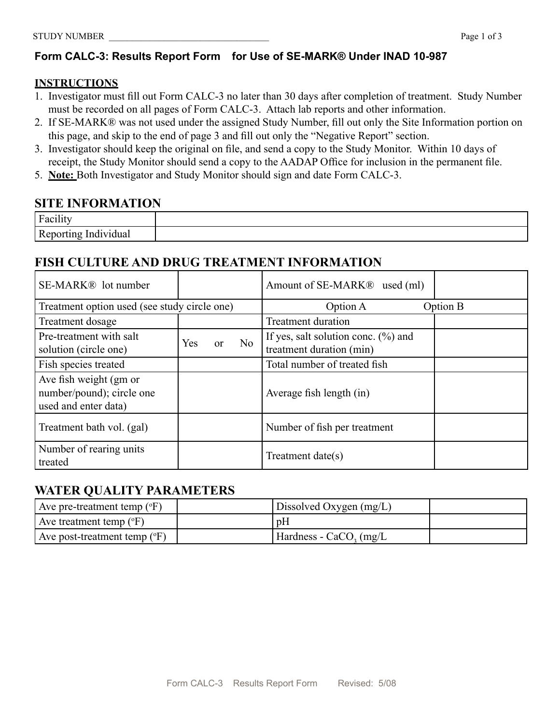# **Form CALC-3: Results Report Form for Use of SE-MARK® Under INAD 10-987**

#### **INSTRUCTIONS**

- 1. Investigator must fill out Form CALC-3 no later than 30 days after completion of treatment. Study Number must be recorded on all pages of Form CALC-3. Attach lab reports and other information.
- 2. If SE-MARK® was not used under the assigned Study Number, fill out only the Site Information portion on this page, and skip to the end of page 3 and fill out only the "Negative Report" section.
- 3. Investigator should keep the original on file, and send a copy to the Study Monitor. Within 10 days of receipt, the Study Monitor should send a copy to the AADAP Office for inclusion in the permanent file.
- 5. **Note:** Both Investigator and Study Monitor should sign and date Form CALC-3.

# **SITE INFORMATION**

| $\dots$<br>$\Gamma$            |  |
|--------------------------------|--|
| Reporting<br>Individual<br>. . |  |

# **FISH CULTURE AND DRUG TREATMENT INFORMATION**

| SE-MARK <sup>®</sup> lot number                                             |            |          |    | Amount of SE-MARK <sup>®</sup> used (ml)                            |          |
|-----------------------------------------------------------------------------|------------|----------|----|---------------------------------------------------------------------|----------|
| Treatment option used (see study circle one)                                |            |          |    | Option A                                                            | Option B |
| Treatment dosage                                                            |            |          |    | <b>Treatment duration</b>                                           |          |
| Pre-treatment with salt<br>solution (circle one)                            | <b>Yes</b> | $\alpha$ | No | If yes, salt solution conc. $(\% )$ and<br>treatment duration (min) |          |
| Fish species treated                                                        |            |          |    | Total number of treated fish                                        |          |
| Ave fish weight (gm or<br>number/pound); circle one<br>used and enter data) |            |          |    | Average fish length (in)                                            |          |
| Treatment bath vol. (gal)                                                   |            |          |    | Number of fish per treatment                                        |          |
| Number of rearing units<br>treated                                          |            |          |    | Treatment date(s)                                                   |          |

# **WATER QUALITY PARAMETERS**

| Ave pre-treatment temp $({}^{\circ}F)$  | Dissolved Oxygen $(mg/L)$    |  |
|-----------------------------------------|------------------------------|--|
| Ave treatment temp $({}^{\circ}F)$      | pΗ                           |  |
| Ave post-treatment temp $({}^{\circ}F)$ | $Hardness - CaCO$ , $(mg/L)$ |  |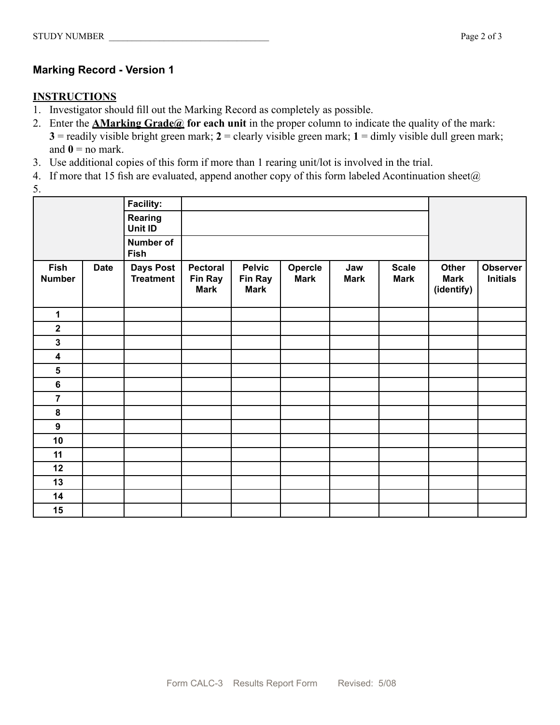## **Marking Record - Version 1**

#### **INSTRUCTIONS**

- 1. Investigator should fill out the Marking Record as completely as possible.
- 2. Enter the **AMarking Grade@ for each unit** in the proper column to indicate the quality of the mark: **3** = readily visible bright green mark; **2** = clearly visible green mark; **1** = dimly visible dull green mark; and  $\mathbf{0} =$  no mark.
- 3. Use additional copies of this form if more than 1 rearing unit/lot is involved in the trial.
- 4. If more that 15 fish are evaluated, append another copy of this form labeled Acontinuation sheet $(a)$
- 5.

|                              |             | <b>Facility:</b>                     |                                           |                                         |                        |                    |                             |                                    |                                    |
|------------------------------|-------------|--------------------------------------|-------------------------------------------|-----------------------------------------|------------------------|--------------------|-----------------------------|------------------------------------|------------------------------------|
|                              |             | Rearing<br>Unit ID                   |                                           |                                         |                        |                    |                             |                                    |                                    |
|                              |             | Number of<br><b>Fish</b>             |                                           |                                         |                        |                    |                             |                                    |                                    |
| <b>Fish</b><br><b>Number</b> | <b>Date</b> | <b>Days Post</b><br><b>Treatment</b> | Pectoral<br><b>Fin Ray</b><br><b>Mark</b> | <b>Pelvic</b><br>Fin Ray<br><b>Mark</b> | Opercle<br><b>Mark</b> | Jaw<br><b>Mark</b> | <b>Scale</b><br><b>Mark</b> | Other<br><b>Mark</b><br>(identify) | <b>Observer</b><br><b>Initials</b> |
| 1                            |             |                                      |                                           |                                         |                        |                    |                             |                                    |                                    |
| $\overline{\mathbf{2}}$      |             |                                      |                                           |                                         |                        |                    |                             |                                    |                                    |
| $\mathbf{3}$                 |             |                                      |                                           |                                         |                        |                    |                             |                                    |                                    |
| $\overline{\mathbf{4}}$      |             |                                      |                                           |                                         |                        |                    |                             |                                    |                                    |
| 5                            |             |                                      |                                           |                                         |                        |                    |                             |                                    |                                    |
| 6                            |             |                                      |                                           |                                         |                        |                    |                             |                                    |                                    |
| $\overline{7}$               |             |                                      |                                           |                                         |                        |                    |                             |                                    |                                    |
| $\pmb{8}$                    |             |                                      |                                           |                                         |                        |                    |                             |                                    |                                    |
| $\boldsymbol{9}$             |             |                                      |                                           |                                         |                        |                    |                             |                                    |                                    |
| 10                           |             |                                      |                                           |                                         |                        |                    |                             |                                    |                                    |
| 11                           |             |                                      |                                           |                                         |                        |                    |                             |                                    |                                    |
| 12                           |             |                                      |                                           |                                         |                        |                    |                             |                                    |                                    |
| 13                           |             |                                      |                                           |                                         |                        |                    |                             |                                    |                                    |
| 14                           |             |                                      |                                           |                                         |                        |                    |                             |                                    |                                    |
| 15                           |             |                                      |                                           |                                         |                        |                    |                             |                                    |                                    |